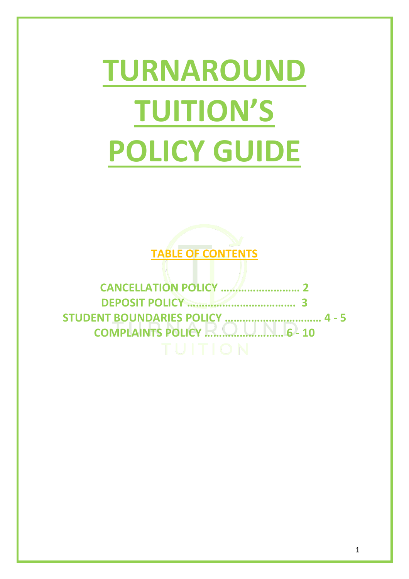# **TURNAROUND TUITION'S POLICY GUIDE**



**CANCELLATION POLICY ……………………… 2 DEPOSIT POLICY ………………………………. 3 STUDENT BOUNDARIES POLICY …………………………… 4 - 5 COMPLAINTS POLICY ……………………… 6 - 10**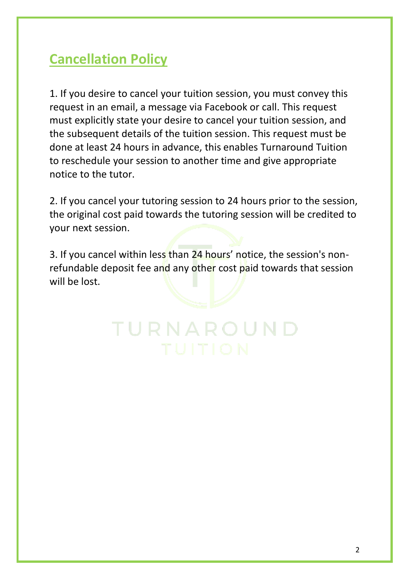# **Cancellation Policy**

1. If you desire to cancel your tuition session, you must convey this request in an email, a message via Facebook or call. This request must explicitly state your desire to cancel your tuition session, and the subsequent details of the tuition session. This request must be done at least 24 hours in advance, this enables Turnaround Tuition to reschedule your session to another time and give appropriate notice to the tutor.

2. If you cancel your tutoring session to 24 hours prior to the session, the original cost paid towards the tutoring session will be credited to your next session.

3. If you cancel within less than 24 hours' notice, the session's nonrefundable deposit fee and any other cost paid towards that session will be lost.

TURNAROUND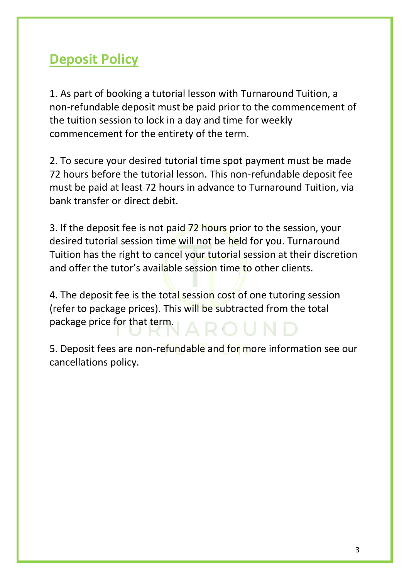# **Deposit Policy**

1. As part of booking a tutorial lesson with Turnaround Tuition, a non-refundable deposit must be paid prior to the commencement of the tuition session to lock in a day and time for weekly commencement for the entirety of the term.

2. To secure your desired tutorial time spot payment must be made 72 hours before the tutorial lesson. This non-refundable deposit fee must be paid at least 72 hours in advance to Turnaround Tuition, via bank transfer or direct debit.

3. If the deposit fee is not paid 72 hours prior to the session, your desired tutorial session time will not be held for you. Turnaround Tuition has the right to cancel your tutorial session at their discretion and offer the tutor's available session time to other clients.

4. The deposit fee is the total session cost of one tutoring session (refer to package prices). This will be subtracted from the total package price for that term.

5. Deposit fees are non-refundable and for more information see our cancellations policy.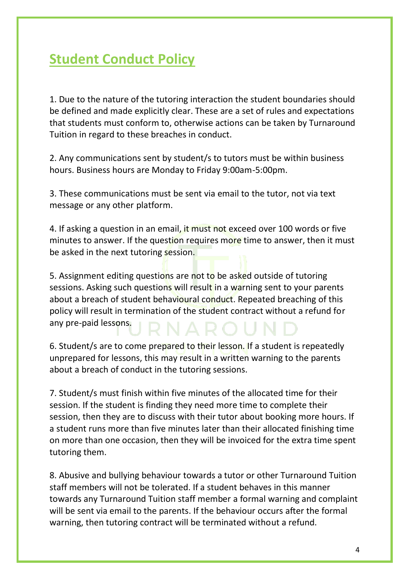# **Student Conduct Policy**

1. Due to the nature of the tutoring interaction the student boundaries should be defined and made explicitly clear. These are a set of rules and expectations that students must conform to, otherwise actions can be taken by Turnaround Tuition in regard to these breaches in conduct.

2. Any communications sent by student/s to tutors must be within business hours. Business hours are Monday to Friday 9:00am-5:00pm.

3. These communications must be sent via email to the tutor, not via text message or any other platform.

4. If asking a question in an email, it must not exceed over 100 words or five minutes to answer. If the question requires more time to answer, then it must be asked in the next tutoring session.

5. Assignment editing questions are not to be asked outside of tutoring sessions. Asking such questions will result in a warning sent to your parents about a breach of student behavioural conduct. Repeated breaching of this policy will result in termination of the student contract without a refund for any pre-paid lessons.

6. Student/s are to come prepared to their lesson. If a student is repeatedly unprepared for lessons, this may result in a written warning to the parents about a breach of conduct in the tutoring sessions.

7. Student/s must finish within five minutes of the allocated time for their session. If the student is finding they need more time to complete their session, then they are to discuss with their tutor about booking more hours. If a student runs more than five minutes later than their allocated finishing time on more than one occasion, then they will be invoiced for the extra time spent tutoring them.

8. Abusive and bullying behaviour towards a tutor or other Turnaround Tuition staff members will not be tolerated. If a student behaves in this manner towards any Turnaround Tuition staff member a formal warning and complaint will be sent via email to the parents. If the behaviour occurs after the formal warning, then tutoring contract will be terminated without a refund.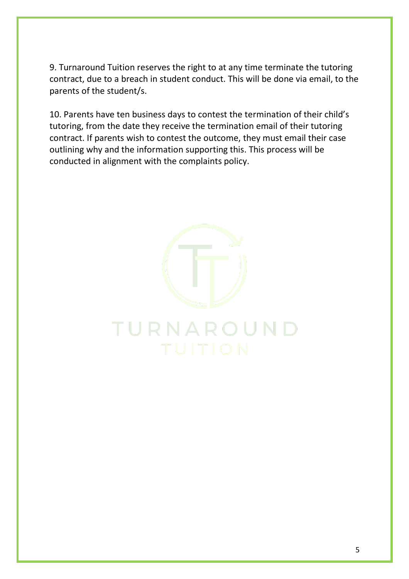9. Turnaround Tuition reserves the right to at any time terminate the tutoring contract, due to a breach in student conduct. This will be done via email, to the parents of the student/s.

10. Parents have ten business days to contest the termination of their child's tutoring, from the date they receive the termination email of their tutoring contract. If parents wish to contest the outcome, they must email their case outlining why and the information supporting this. This process will be conducted in alignment with the complaints policy.

TURNAROUND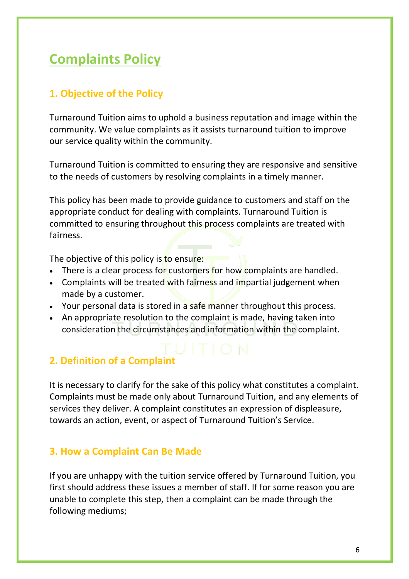# **Complaints Policy**

## **1. Objective of the Policy**

Turnaround Tuition aims to uphold a business reputation and image within the community. We value complaints as it assists turnaround tuition to improve our service quality within the community.

Turnaround Tuition is committed to ensuring they are responsive and sensitive to the needs of customers by resolving complaints in a timely manner.

This policy has been made to provide guidance to customers and staff on the appropriate conduct for dealing with complaints. Turnaround Tuition is committed to ensuring throughout this process complaints are treated with fairness.

The objective of this policy is to ensure:

- There is a clear process for customers for how complaints are handled.
- Complaints will be treated with fairness and impartial judgement when made by a customer.
- Your personal data is stored in a safe manner throughout this process.
- An appropriate resolution to the complaint is made, having taken into consideration the circumstances and information within the complaint.

# **2. Definition of a Complaint**

It is necessary to clarify for the sake of this policy what constitutes a complaint. Complaints must be made only about Turnaround Tuition, and any elements of services they deliver. A complaint constitutes an expression of displeasure, towards an action, event, or aspect of Turnaround Tuition's Service.

## **3. How a Complaint Can Be Made**

If you are unhappy with the tuition service offered by Turnaround Tuition, you first should address these issues a member of staff. If for some reason you are unable to complete this step, then a complaint can be made through the following mediums;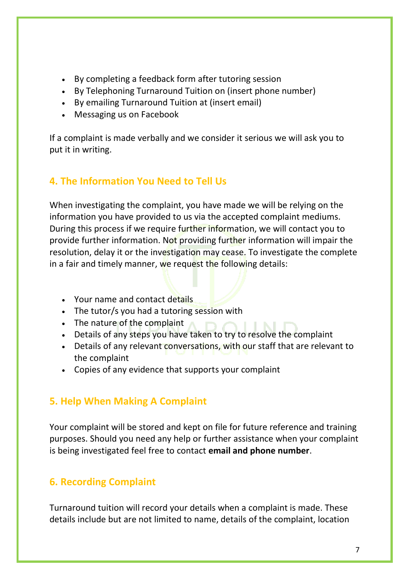- By completing a feedback form after tutoring session
- By Telephoning Turnaround Tuition on (insert phone number)
- By emailing Turnaround Tuition at (insert email)
- Messaging us on Facebook

If a complaint is made verbally and we consider it serious we will ask you to put it in writing.

## **4. The Information You Need to Tell Us**

When investigating the complaint, you have made we will be relying on the information you have provided to us via the accepted complaint mediums. During this process if we require further information, we will contact you to provide further information. Not providing further information will impair the resolution, delay it or the investigation may cease. To investigate the complete in a fair and timely manner, we request the following details:

- Your name and contact details
- The tutor/s you had a tutoring session with
- The nature of the complaint
- Details of any steps you have taken to try to resolve the complaint
- Details of any relevant conversations, with our staff that are relevant to the complaint
- Copies of any evidence that supports your complaint

## **5. Help When Making A Complaint**

Your complaint will be stored and kept on file for future reference and training purposes. Should you need any help or further assistance when your complaint is being investigated feel free to contact **email and phone number**.

## **6. Recording Complaint**

Turnaround tuition will record your details when a complaint is made. These details include but are not limited to name, details of the complaint, location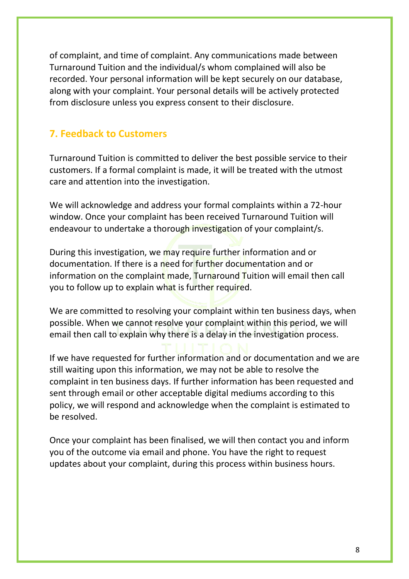of complaint, and time of complaint. Any communications made between Turnaround Tuition and the individual/s whom complained will also be recorded. Your personal information will be kept securely on our database, along with your complaint. Your personal details will be actively protected from disclosure unless you express consent to their disclosure.

#### **7. Feedback to Customers**

Turnaround Tuition is committed to deliver the best possible service to their customers. If a formal complaint is made, it will be treated with the utmost care and attention into the investigation.

We will acknowledge and address your formal complaints within a 72-hour window. Once your complaint has been received Turnaround Tuition will endeavour to undertake a thorough investigation of your complaint/s.

During this investigation, we may require further information and or documentation. If there is a need for further documentation and or information on the complaint made, Turnaround Tuition will email then call you to follow up to explain what is further required.

We are committed to resolving your complaint within ten business days, when possible. When we cannot resolve your complaint within this period, we will email then call to explain why there is a delay in the investigation process.

If we have requested for further information and or documentation and we are still waiting upon this information, we may not be able to resolve the complaint in ten business days. If further information has been requested and sent through email or other acceptable digital mediums according to this policy, we will respond and acknowledge when the complaint is estimated to be resolved.

Once your complaint has been finalised, we will then contact you and inform you of the outcome via email and phone. You have the right to request updates about your complaint, during this process within business hours.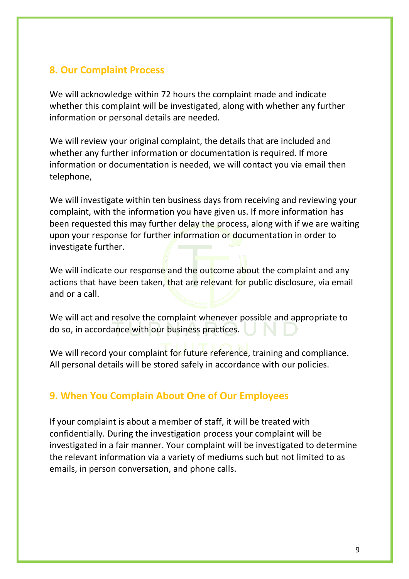#### **8. Our Complaint Process**

We will acknowledge within 72 hours the complaint made and indicate whether this complaint will be investigated, along with whether any further information or personal details are needed.

We will review your original complaint, the details that are included and whether any further information or documentation is required. If more information or documentation is needed, we will contact you via email then telephone,

We will investigate within ten business days from receiving and reviewing your complaint, with the information you have given us. If more information has been requested this may further delay the process, along with if we are waiting upon your response for further information or documentation in order to investigate further.

We will indicate our response and the outcome about the complaint and any actions that have been taken, that are relevant for public disclosure, via email and or a call.

We will act and resolve the complaint whenever possible and appropriate to do so, in accordance with our business practices.

We will record your complaint for future reference, training and compliance. All personal details will be stored safely in accordance with our policies.

#### **9. When You Complain About One of Our Employees**

If your complaint is about a member of staff, it will be treated with confidentially. During the investigation process your complaint will be investigated in a fair manner. Your complaint will be investigated to determine the relevant information via a variety of mediums such but not limited to as emails, in person conversation, and phone calls.